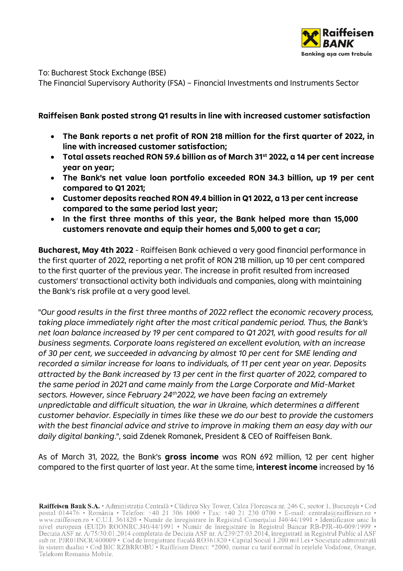

To: Bucharest Stock Exchange (BSE)

The Financial Supervisory Authority (FSA) – Financial Investments and Instruments Sector

## **Raiffeisen Bank posted strong Q1 results in line with increased customer satisfaction**

- **The Bank reports a net profit of RON 218 million for the first quarter of 2022, in line with increased customer satisfaction;**
- **Total assets reached RON 59.6 billion as of March 31st 2022, a 14 per cent increase year on year;**
- **The Bank's net value loan portfolio exceeded RON 34.3 billion, up 19 per cent compared to Q1 2021;**
- **Customer deposits reached RON 49.4 billion in Q1 2022, a 13 per cent increase compared to the same period last year;**
- **In the first three months of this year, the Bank helped more than 15,000 customers renovate and equip their homes and 5,000 to get a car;**

**Bucharest, May 4th 2022** - Raiffeisen Bank achieved a very good financial performance in the first quarter of 2022, reporting a net profit of RON 218 million, up 10 per cent compared to the first quarter of the previous year. The increase in profit resulted from increased customers' transactional activity both individuals and companies, along with maintaining the Bank's risk profile at a very good level.

"*Our good results in the first three months of 2022 reflect the economic recovery process, taking place immediately right after the most critical pandemic period. Thus, the Bank's net loan balance increased by 19 per cent compared to Q1 2021, with good results for all business segments. Corporate loans registered an excellent evolution, with an increase of 30 per cent, we succeeded in advancing by almost 10 per cent for SME lending and recorded a similar increase for loans to individuals, of 11 per cent year on year. Deposits attracted by the Bank increased by 13 per cent in the first quarter of 2022, compared to the same period in 2021 and came mainly from the Large Corporate and Mid-Market sectors. However, since February 24th2022, we have been facing an extremely unpredictable and difficult situation, the war in Ukraine, which determines a different customer behavior. Especially in times like these we do our best to provide the customers with the best financial advice and strive to improve in making them an easy day with our daily digital banking*.", said Zdenek Romanek, President & CEO of Raiffeisen Bank.

As of March 31, 2022, the Bank's **gross income** was RON 692 million, 12 per cent higher compared to the first quarter of last year. At the same time, **interest income** increased by 16

Raiffeisen Bank S.A. • Administrația Centrală • Clădirea Sky Tower, Calea Floreasca nr. 246 C, sector 1, București • Cod postal 014476 • România • Telefon: +40 21 306 1000 • Fax: +40 21 230 0700 • E-mail: centrala@raiffeis www.raiffeisen.ro • C.U.I. 361820 • Număr de înregistrare în Registrul Comerțului J40/44/1991 • Identificator unic la www.famesen.ro • C.O.I. 301820 • Numar de infegistrate in Registrat Confer dura 140/44/1991 • Identificator difficial<br>nivel european (EUID) ROONRC.J40/44/1991 • Număr de înregistrare în Registrul Bancar RB-PJR-40-009/1999 în sistem dualist • Cod BIC RZBRROBU • Raiffeisen Direct: \*2000, numar cu tarif normal în rețelele Vodafone, Orange, Telekom Romania Mobile.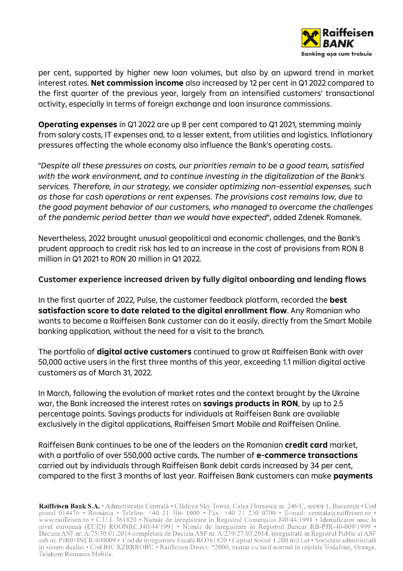

per cent, supported by higher new loan volumes, but also by an upward trend in market interest rates. **Net commission income** also increased by 12 per cent in Q1 2022 compared to the first quarter of the previous year, largely from an intensified customers' transactional activity, especially in terms of foreign exchange and loan insurance commissions.

**Operating expenses** in Q1 2022 are up 8 per cent compared to Q1 2021, stemming mainly from salary costs, IT expenses and, to a lesser extent, from utilities and logistics. Inflationary pressures affecting the whole economy also influence the Bank's operating costs.

"*Despite all these pressures on costs, our priorities remain to be a good team, satisfied with the work environment, and to continue investing in the digitalization of the Bank's services. Therefore, in our strategy, we consider optimizing non-essential expenses, such as those for cash operations or rent expenses. The provisions cost remains low, due to the good payment behavior of our customers, who managed to overcome the challenges of the pandemic period better than we would have expected*", added Zdenek Romanek.

Nevertheless, 2022 brought unusual geopolitical and economic challenges, and the Bank's prudent approach to credit risk has led to an increase in the cost of provisions from RON 8 million in Q1 2021 to RON 20 million in Q1 2022.

## **Customer experience increased driven by fully digital onboarding and lending flows**

In the first quarter of 2022, Pulse, the customer feedback platform, recorded the **best satisfaction score to date related to the digital enrollment flow**. Any Romanian who wants to become a Raiffeisen Bank customer can do it easily, directly from the Smart Mobile banking application, without the need for a visit to the branch.

The portfolio of **digital active customers** continued to grow at Raiffeisen Bank with over 50,000 active users in the first three months of this year, exceeding 1.1 million digital active customers as of March 31, 2022.

In March, following the evolution of market rates and the context brought by the Ukraine war, the Bank increased the interest rates on **savings products in RON**, by up to 2.5 percentage points. Savings products for individuals at Raiffeisen Bank are available exclusively in the digital applications, Raiffeisen Smart Mobile and Raiffeisen Online.

Raiffeisen Bank continues to be one of the leaders on the Romanian **credit card** market, with a portfolio of over 550,000 active cards. The number of **e-commerce transactions** carried out by individuals through Raiffeisen Bank debit cards increased by 34 per cent, compared to the first 3 months of last year. Raiffeisen Bank customers can make **payments** 

Raiffeisen Bank S.A. • Administrația Centrală • Clădirea Sky Tower, Calea Floreasca nr. 246 C, sector 1, București • Cod postal 014476 • România • Telefon: +40 21 306 1000 • Fax: +40 21 230 0700 • E-mail: centrala@raiffeis www.raiffeisen.ro • C.U.I. 361820 • Număr de înregistrare în Registrul Comerțului J40/44/1991 • Identificator unic la nivel european (EUID) ROONRC.J40/44/1991 • Număr de înregistrare în Registrul Bancar RB-PJR-40-009/1999 în sistem dualist • Cod BIC RZBRROBU • Raiffeisen Direct: \*2000, numar cu tarif normal în rețelele Vodafone, Orange, Telekom Romania Mobile.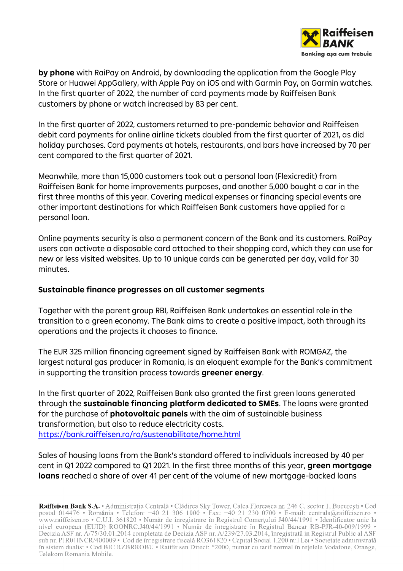

**by phone** with RaiPay on Android, by downloading the application from the Google Play Store or Huawei AppGallery, with Apple Pay on iOS and with Garmin Pay, on Garmin watches. In the first quarter of 2022, the number of card payments made by Raiffeisen Bank customers by phone or watch increased by 83 per cent.

In the first quarter of 2022, customers returned to pre-pandemic behavior and Raiffeisen debit card payments for online airline tickets doubled from the first quarter of 2021, as did holiday purchases. Card payments at hotels, restaurants, and bars have increased by 70 per cent compared to the first quarter of 2021.

Meanwhile, more than 15,000 customers took out a personal loan (Flexicredit) from Raiffeisen Bank for home improvements purposes, and another 5,000 bought a car in the first three months of this year. Covering medical expenses or financing special events are other important destinations for which Raiffeisen Bank customers have applied for a personal loan.

Online payments security is also a permanent concern of the Bank and its customers. RaiPay users can activate a disposable card attached to their shopping card, which they can use for new or less visited websites. Up to 10 unique cards can be generated per day, valid for 30 minutes.

## **Sustainable finance progresses on all customer segments**

Together with the parent group RBI, Raiffeisen Bank undertakes an essential role in the transition to a green economy. The Bank aims to create a positive impact, both through its operations and the projects it chooses to finance.

The EUR 325 million financing agreement signed by Raiffeisen Bank with ROMGAZ, the largest natural gas producer in Romania, is an eloquent example for the Bank's commitment in supporting the transition process towards **greener energy**.

In the first quarter of 2022, Raiffeisen Bank also granted the first green loans generated through the **sustainable financing platform dedicated to SMEs**. The loans were granted for the purchase of **photovoltaic panels** with the aim of sustainable business transformation, but also to reduce electricity costs. <https://bank.raiffeisen.ro/ro/sustenabilitate/home.html>

Sales of housing loans from the Bank's standard offered to individuals increased by 40 per cent in Q1 2022 compared to Q1 2021. In the first three months of this year, **green mortgage loans** reached a share of over 41 per cent of the volume of new mortgage-backed loans

Raiffeisen Bank S.A. • Administrația Centrală • Clădirea Sky Tower, Calea Floreasca nr. 246 C, sector 1, București • Cod postal 014476 • România • Telefon: +40 21 306 1000 • Fax: +40 21 230 0700 • E-mail: centrala@raiffeis www.raiffeisen.ro • C.U.I. 361820 • Număr de înregistrare în Registrul Comerțului J40/44/1991 • Identificator unic la www.famesen.ro • C.O.I. 301820 • Numar de infegistrate in Registrat Confer dura 140/44/1991 • Identificator difficial<br>nivel european (EUID) ROONRC.J40/44/1991 • Număr de înregistrare în Registrul Bancar RB-PJR-40-009/1999 în sistem dualist • Cod BIC RZBRROBU • Raiffeisen Direct: \*2000, numar cu tarif normal în rețelele Vodafone, Orange, Telekom Romania Mobile.